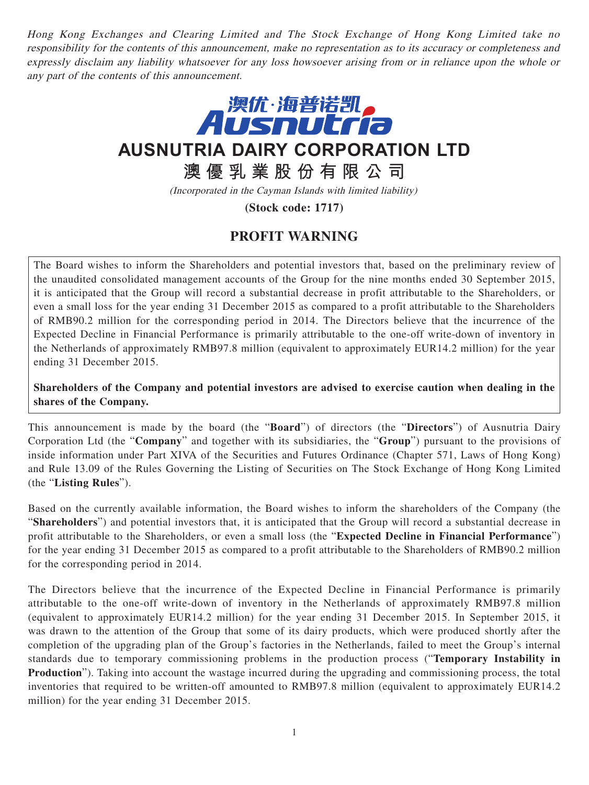Hong Kong Exchanges and Clearing Limited and The Stock Exchange of Hong Kong Limited take no responsibility for the contents of this announcement, make no representation as to its accuracy or completeness and expressly disclaim any liability whatsoever for any loss howsoever arising from or in reliance upon the whole or any part of the contents of this announcement.



**AUSNUTRIA DAIRY CORPORATION LTD**

**澳優乳業股份有限公司**

(Incorporated in the Cayman Islands with limited liability)

**(Stock code: 1717)**

## **PROFIT WARNING**

The Board wishes to inform the Shareholders and potential investors that, based on the preliminary review of the unaudited consolidated management accounts of the Group for the nine months ended 30 September 2015, it is anticipated that the Group will record a substantial decrease in profit attributable to the Shareholders, or even a small loss for the year ending 31 December 2015 as compared to a profit attributable to the Shareholders of RMB90.2 million for the corresponding period in 2014. The Directors believe that the incurrence of the Expected Decline in Financial Performance is primarily attributable to the one-off write-down of inventory in the Netherlands of approximately RMB97.8 million (equivalent to approximately EUR14.2 million) for the year ending 31 December 2015.

**Shareholders of the Company and potential investors are advised to exercise caution when dealing in the shares of the Company.**

This announcement is made by the board (the "**Board**") of directors (the "**Directors**") of Ausnutria Dairy Corporation Ltd (the "**Company**" and together with its subsidiaries, the "**Group**") pursuant to the provisions of inside information under Part XIVA of the Securities and Futures Ordinance (Chapter 571, Laws of Hong Kong) and Rule 13.09 of the Rules Governing the Listing of Securities on The Stock Exchange of Hong Kong Limited (the "**Listing Rules**").

Based on the currently available information, the Board wishes to inform the shareholders of the Company (the "**Shareholders**") and potential investors that, it is anticipated that the Group will record a substantial decrease in profit attributable to the Shareholders, or even a small loss (the "**Expected Decline in Financial Performance**") for the year ending 31 December 2015 as compared to a profit attributable to the Shareholders of RMB90.2 million for the corresponding period in 2014.

The Directors believe that the incurrence of the Expected Decline in Financial Performance is primarily attributable to the one-off write-down of inventory in the Netherlands of approximately RMB97.8 million (equivalent to approximately EUR14.2 million) for the year ending 31 December 2015. In September 2015, it was drawn to the attention of the Group that some of its dairy products, which were produced shortly after the completion of the upgrading plan of the Group's factories in the Netherlands, failed to meet the Group's internal standards due to temporary commissioning problems in the production process ("**Temporary Instability in Production**"). Taking into account the wastage incurred during the upgrading and commissioning process, the total inventories that required to be written-off amounted to RMB97.8 million (equivalent to approximately EUR14.2 million) for the year ending 31 December 2015.